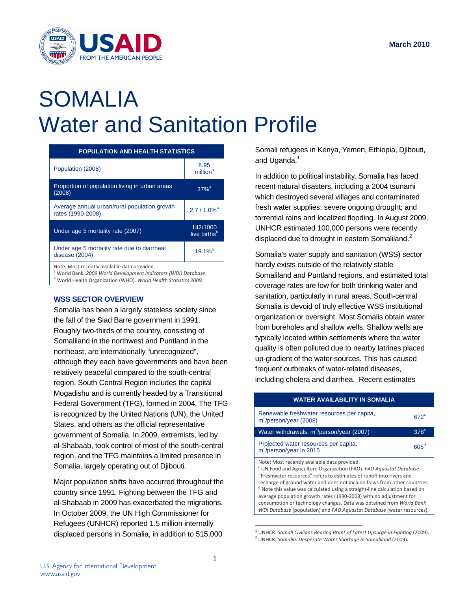

# SOMALIA Water and Sanitation Profile

| <b>POPULATION AND HEALTH STATISTICS</b>                                                                                    |                                      |  |
|----------------------------------------------------------------------------------------------------------------------------|--------------------------------------|--|
| Population (2008)                                                                                                          | 8.95<br>million <sup>a</sup>         |  |
| Proportion of population living in urban areas<br>(2008)                                                                   | $37%$ <sup>a</sup>                   |  |
| Average annual urban/rural population growth<br>rates (1990-2008)                                                          | $2.7/1.0\%$ <sup>a</sup>             |  |
| Under age 5 mortality rate (2007)                                                                                          | 142/1000<br>live births <sup>b</sup> |  |
| Under age 5 mortality rate due to diarrheal<br>disease (2004)                                                              | $19.1%^{b}$                          |  |
| Note: Most recently available data provided.<br><sup>a</sup> World Bank. 2009 World Development Indicators (WDI) Database. |                                      |  |

<sup>b</sup> World Health Organization (WHO). *World Health Statistics 2009*.

## **WSS SECTOR OVERVIEW**

Somalia has been a largely stateless society since the fall of the Siad Barre government in 1991. Roughly two-thirds of the country, consisting of Somaliland in the northwest and Puntland in the northeast, are internationally "unrecognized", although they each have governments and have been relatively peaceful compared to the south-central region. South Central Region includes the capital Mogadishu and is currently headed by a Transitional Federal Government (TFG), formed in 2004. The TFG is recognized by the United Nations (UN), the United States, and others as the official representative government of Somalia. In 2009, extremists, led by al-Shabaab, took control of most of the south-central region, and the TFG maintains a limited presence in Somalia, largely operating out of Djibouti.

Major population shifts have occurred throughout the country since 1991. Fighting between the TFG and al-Shabaab in 2009 has exacerbated the migrations. In October 2009, the UN High Commissioner for Refugees (UNHCR) reported 1.5 million internally displaced persons in Somalia, in addition to 515,000

Somali refugees in Kenya, Yemen, Ethiopia, Djibouti, and Uganda.<sup>1</sup>

In addition to political instability, Somalia has faced recent natural disasters, including a 2004 tsunami which destroyed several villages and contaminated fresh water supplies; severe ongoing drought; and torrential rains and localized flooding. In August 2009, UNHCR estimated 100,000 persons were recently displaced due to drought in eastern Somaliland.<sup>2</sup>

Somalia's water supply and sanitation (WSS) sector hardly exists outside of the relatively stable Somaliland and Puntland regions, and estimated total coverage rates are low for both drinking water and sanitation, particularly in rural areas. South-central Somalia is devoid of truly effective WSS institutional organization or oversight. Most Somalis obtain water from boreholes and shallow wells. Shallow wells are typically located within settlements where the water quality is often polluted due to nearby latrines placed up-gradient of the water sources. This has caused frequent outbreaks of water-related diseases, including cholera and diarrhea. Recent estimates

| <b>WATER AVAILABILITY IN SOMALIA</b>                                                                                                                                                                                                                                                                                                                                                                                                                                                                                                                                                      |               |  |
|-------------------------------------------------------------------------------------------------------------------------------------------------------------------------------------------------------------------------------------------------------------------------------------------------------------------------------------------------------------------------------------------------------------------------------------------------------------------------------------------------------------------------------------------------------------------------------------------|---------------|--|
| Renewable freshwater resources per capita,<br>$m^3$ /person/year (2008)                                                                                                                                                                                                                                                                                                                                                                                                                                                                                                                   | $672^{\circ}$ |  |
| Water withdrawals, m <sup>3</sup> /person/year (2007)                                                                                                                                                                                                                                                                                                                                                                                                                                                                                                                                     | $378^{\circ}$ |  |
| Projected water resources per capita,<br>$m^3$ /person/year in 2015                                                                                                                                                                                                                                                                                                                                                                                                                                                                                                                       | $605^d$       |  |
| Note: Most recently available data provided.<br><sup>c</sup> UN Food and Agriculture Organization (FAO). FAO Aquastat Database.<br>"Freshwater resources" refers to estimates of runoff into rivers and<br>recharge of ground water and does not include flows from other countries.<br>Note this value was calculated using a straight-line calculation based on<br>average population growth rates (1990-2008) with no adjustment for<br>consumption or technology changes. Data was obtained from World Bank<br>WDI Database (population) and FAO Aquastat Database (water resources). |               |  |

<sup>1</sup> UNHCR. *Somali Civilians Bearing Brunt of Latest Upsurge in Fighting* (2009).

l

<sup>2</sup> UNHCR. *Somalia: Desperate Water Shortage in Somaliland* (2009).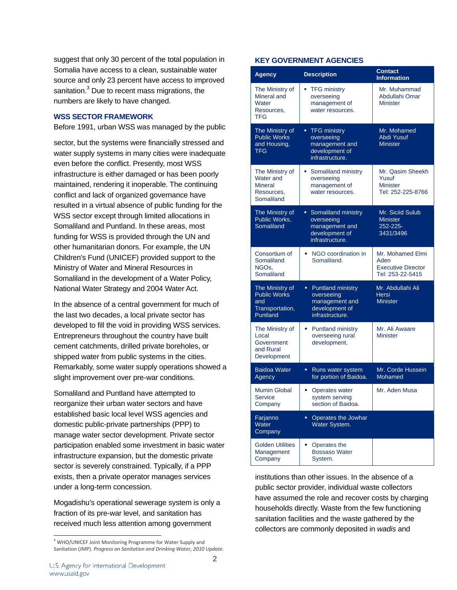suggest that only 30 percent of the total population in Somalia have access to a clean, sustainable water source and only 23 percent have access to improved sanitation.<sup>3</sup> Due to recent mass migrations, the numbers are likely to have changed.

### **WSS SECTOR FRAMEWORK**

Before 1991, urban WSS was managed by the public

sector, but the systems were financially stressed and water supply systems in many cities were inadequate even before the conflict. Presently, most WSS infrastructure is either damaged or has been poorly maintained, rendering it inoperable. The continuing conflict and lack of organized governance have resulted in a virtual absence of public funding for the WSS sector except through limited allocations in Somaliland and Puntland. In these areas, most funding for WSS is provided through the UN and other humanitarian donors. For example, the UN Children's Fund (UNICEF) provided support to the Ministry of Water and Mineral Resources in Somaliland in the development of a Water Policy, National Water Strategy and 2004 Water Act.

In the absence of a central government for much of the last two decades, a local private sector has developed to fill the void in providing WSS services. Entrepreneurs throughout the country have built cement catchments, drilled private boreholes, or shipped water from public systems in the cities. Remarkably, some water supply operations showed a slight improvement over pre-war conditions.

Somaliland and Puntland have attempted to reorganize their urban water sectors and have established basic local level WSS agencies and domestic public-private partnerships (PPP) to manage water sector development. Private sector participation enabled some investment in basic water infrastructure expansion, but the domestic private sector is severely constrained. Typically, if a PPP exists, then a private operator manages services under a long-term concession.

Mogadishu's operational sewerage system is only a fraction of its pre-war level, and sanitation has received much less attention among government

### **KEY GOVERNMENT AGENCIES**

| <b>Agency</b>                                                                | <b>Description</b>                                                                                  | <b>Contact</b><br><b>Information</b>                                      |
|------------------------------------------------------------------------------|-----------------------------------------------------------------------------------------------------|---------------------------------------------------------------------------|
| The Ministry of<br>Mineral and<br>Water<br>Resources,<br><b>TFG</b>          | <b>TFG ministry</b><br>m.<br>overseeing<br>management of<br>water resources.                        | Mr. Muhammad<br>Abdullahi Omar<br><b>Minister</b>                         |
| The Ministry of<br><b>Public Works</b><br>and Housing.<br>TFG                | ■ TFG ministry<br>overseeing<br>management and<br>development of<br>infrastructure.                 | Mr. Mohamed<br><b>Abdi Yusuf</b><br><b>Minister</b>                       |
| The Ministry of<br>Water and<br><b>Mineral</b><br>Resources,<br>Somaliland   | Somaliland ministry<br>ш.<br>overseeing<br>management of<br>water resources.                        | Mr. Qasim Sheekh<br>Yusuf<br><b>Minister</b><br>Tel: 252-225-8766         |
| The Ministry of<br>Public Works,<br>Somaliland                               | • Somaliland ministry<br>overseeing<br>management and<br>development of<br>infrastructure.          | Mr. Siciid Sulub<br><b>Minister</b><br>252-225-<br>3431/3496              |
| Consortium of<br>Somaliland<br>NGO <sub>s.</sub><br>Somaliland               | NGO coordination in<br>٠<br>Somaliland.                                                             | Mr. Mohamed Elmi<br>Aden<br><b>Executive Director</b><br>Tel: 253-22-5415 |
| The Ministry of<br><b>Public Works</b><br>and<br>Transportation,<br>Puntland | ×.<br><b>Puntland ministry</b><br>overseeing<br>management and<br>development of<br>infrastructure. | Mr. Abdullahi Ali<br><b>Hersi</b><br><b>Minister</b>                      |
| The Ministry of<br>Local<br>Government<br>and Rural<br>Development           | <b>Puntland ministry</b><br>٠<br>overseeing rural<br>development.                                   | Mr. Ali Awaare<br><b>Minister</b>                                         |
| <b>Baidoa Water</b><br>Agency                                                | Runs water system<br>٠<br>for portion of Baidoa.                                                    | Mr. Corde Hussein<br>Mohamed                                              |
| <b>Mumin Global</b><br>Service<br>Company                                    | <b>Operates water</b><br>٠<br>system serving<br>section of Baidoa.                                  | Mr. Aden Musa                                                             |
| Farjanno<br>Water<br>Company                                                 | Operates the Jowhar<br>٠<br>Water System.                                                           |                                                                           |
| <b>Golden Utilities</b><br>Management<br>Company                             | Operates the<br>٠<br><b>Bossaso Water</b><br>System.                                                |                                                                           |

institutions than other issues. In the absence of a public sector provider, individual waste collectors have assumed the role and recover costs by charging households directly. Waste from the few functioning sanitation facilities and the waste gathered by the collectors are commonly deposited in *wadis* and

l

<sup>&</sup>lt;sup>3</sup> WHO/UNICEF Joint Monitoring Programme for Water Supply and Sanitation (JMP). *Progress on Sanitation and Drinking Water, 2010 Update*.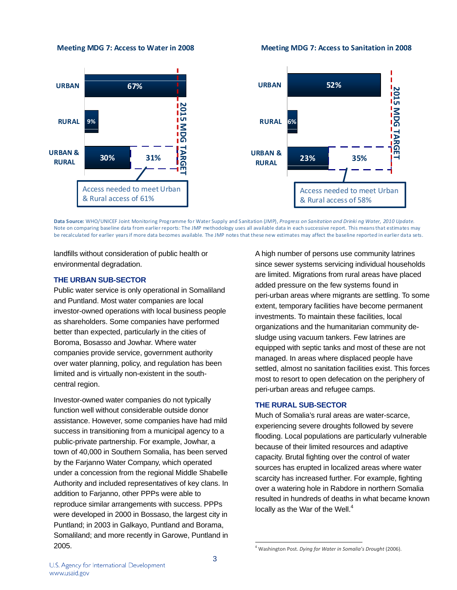**Meeting MDG 7: Access to Water in 2008**

**Meeting MDG 7: Access to Sanitation in 2008**





Data Source: WHO/UNICEF Joint Monitoring Programme for Water Supply and Sanitation (JMP), Progress on Sanitation and Drinki ng Water, 2010 Update. Note on comparing baseline data from earlier reports: The JMP methodology uses all available data in each successive report. This meansthat estimates may be recalculated for earlier yearsif more data becomes available. The JMP notes that these new estimates may affect the baseline reported in earlier data sets.

landfills without consideration of public health or environmental degradation.

## **THE URBAN SUB-SECTOR**

Public water service is only operational in Somaliland and Puntland. Most water companies are local investor-owned operations with local business people as shareholders. Some companies have performed better than expected, particularly in the cities of Boroma, Bosasso and Jowhar. Where water companies provide service, government authority over water planning, policy, and regulation has been limited and is virtually non-existent in the southcentral region.

Investor-owned water companies do not typically function well without considerable outside donor assistance. However, some companies have had mild success in transitioning from a municipal agency to a public-private partnership. For example, Jowhar, a town of 40,000 in Southern Somalia, has been served by the Farjanno Water Company, which operated under a concession from the regional Middle Shabelle Authority and included representatives of key clans. In addition to Farjanno, other PPPs were able to reproduce similar arrangements with success. PPPs were developed in 2000 in Bossaso, the largest city in Puntland; in 2003 in Galkayo, Puntland and Borama, Somaliland; and more recently in Garowe, Puntland in 2005.

A high number of persons use community latrines since sewer systems servicing individual households are limited. Migrations from rural areas have placed added pressure on the few systems found in peri-urban areas where migrants are settling. To some extent, temporary facilities have become permanent investments. To maintain these facilities, local organizations and the humanitarian community desludge using vacuum tankers. Few latrines are equipped with septic tanks and most of these are not managed. In areas where displaced people have settled, almost no sanitation facilities exist. This forces most to resort to open defecation on the periphery of peri-urban areas and refugee camps.

## **THE RURAL SUB-SECTOR**

Much of Somalia's rural areas are water-scarce, experiencing severe droughts followed by severe flooding. Local populations are particularly vulnerable because of their limited resources and adaptive capacity. Brutal fighting over the control of water sources has erupted in localized areas where water scarcity has increased further. For example, fighting over a watering hole in Rabdore in northern Somalia resulted in hundreds of deaths in what became known locally as the War of the Well. $<sup>4</sup>$ </sup>

l

U.S. Agency for International Development www.usaid.gov

<sup>4</sup> Washington Post. *Dying for Water in Somalia's Drought* (2006).